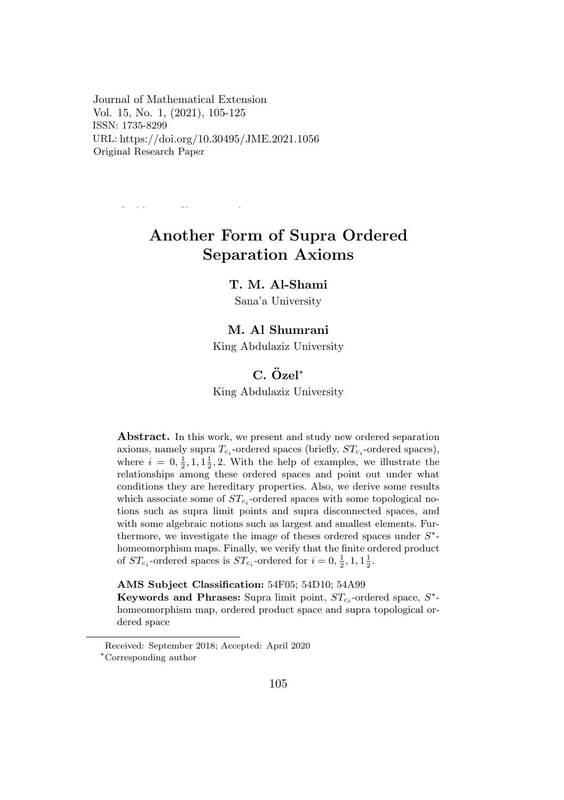Journal of Mathematical Extension Vol. 15, No. 1, (2021), 105-125  $ISSN: 1735-8299$ URL: https://doi.org/10.30495/JME.2021.1244 https://doi.org/10.30495/JME.2021.1056 Original Research Paper

https://doi.org/10.30495/JME.2021.1056

Another Form of Supra Ordered  $\sim$  operation Throms Separation Axioms

# T. M. Al-Shami

C. Ozel ¨ *<sup>∗</sup>* Sana'a University King Abdulaziz University

#### M. Al Shumrani

King Abdulaziz University

#### $C$ *,*  $Õzel<sup>∗</sup>$ axioms, namely supra *T<sup>c</sup><sup>i</sup>* -ordered spaces (briefly, *ST<sup>c</sup><sup>i</sup>* -ordered spaces),

 $\mathbf{r}$  and  $\mathbf{r}$  and  $\mathbf{r}$  and  $\mathbf{r}$  and  $\mathbf{r}$  and  $\mathbf{r}$  and  $\mathbf{r}$  and  $\mathbf{r}$  and  $\mathbf{r}$  and  $\mathbf{r}$  and  $\mathbf{r}$  and  $\mathbf{r}$  and  $\mathbf{r}$  and  $\mathbf{r}$  and  $\mathbf{r}$  and  $\mathbf{r}$  and  $\mathbf{r}$  and King Abdulaziz University

where  $i = 0, \frac{1}{2}, 1, 1, \frac{1}{2}, 2$ . With the help of examples, we illustrate the axioms, namely supra *T<sup>c</sup><sup>i</sup>* -ordered spaces (briefly, *ST<sup>c</sup><sup>i</sup>* -ordered spaces), conditions they are hereditary properties. Also, we derive some results<br>reliable are solutions of  $GT$ , and and masses with some top-lanised as *z is* are nereditary properties. Also, we derive some results<br>2 some of *ST*, -ordered spaces with some topological nowhich associate some of  $ST_{c_i}$ -ordered spaces with some topological no-<br>times and so groups limit a sinte and summa disconnected groups and with some algebraic notions such as largest and smallest elements. Furwhich some algebraic hotions such as largest and smallest elements. Furthermore, we investigate the image of theses ordered spaces under  $S^*$ *∗Corresponding authority* of the magnetic spaces and *∗*Corresponding to the manner of the finite ordered product  $\frac{1}{2}$  or  $\frac{1}{2}$  and  $\frac{1}{2}$  and some and such a largest and smallest elements. Furthermore,  $\frac{1}{2}$  and  $\frac{1}{2}$ of  $ST_{c_i}$ -ordered spaces is  $ST_{c_i}$ -ordered for  $i = 0, \frac{1}{2}, 1, 1\frac{1}{2}$ . with some algebraic notions such as largest and smallest elements. Fur-Abstract. In this work, we present and study new ordered separation axioms, namely supra  $T_{c_i}$ -ordered spaces (briefly,  $ST_{c_i}$ -ordered spaces), tions such as supra limit points and supra disconnected spaces, and relationships among these ordered spaces and point out under what

AMS Subject Classification: 54F05; 54D10; 54A99

 $\kappa$  Subject Classification: 341°03, 34D10, 34A33<br>Keywords and Phrases: Supra limit point,  $ST_{c_i}$ -ordered space,  $S^*$ homeomorphism map, ordered product space and supra topological or-Keywords and Phrases: Supra limit point, *ST<sup>c</sup><sup>i</sup>* -ordered space, *S* dered space

Received: September 2018; Accepted: April 2020

dered space *∗*Corresponding author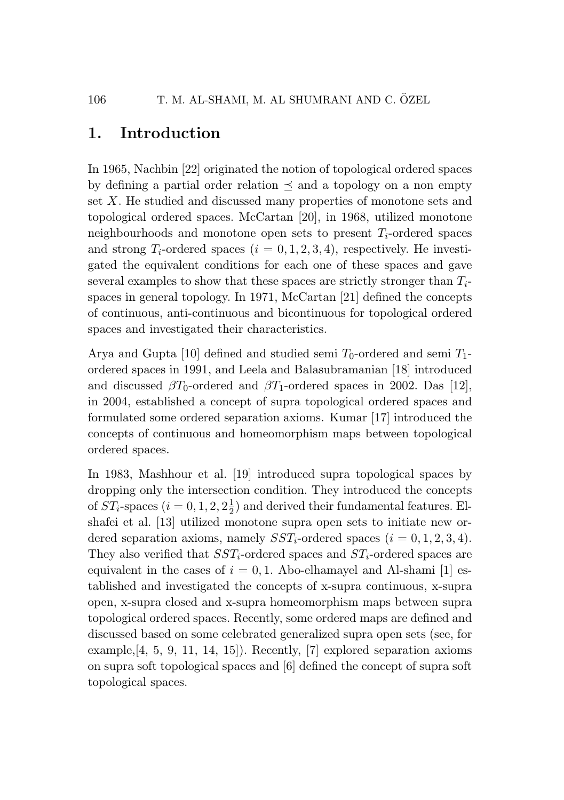# 1. Introduction

In 1965, Nachbin [22] originated the notion of topological ordered spaces by defining a partial order relation  $\preceq$  and a topology on a non empty set *X*. He studied and discussed many properties of monotone sets and topological ordered spaces. McCartan [20], in 1968, utilized monotone neighbourhoods and monotone open sets to present *Ti*-ordered spaces and strong  $T_i$ -ordered spaces  $(i = 0, 1, 2, 3, 4)$ , respectively. He investigated the equivalent conditions for each one of these spaces and gave several examples to show that these spaces are strictly stronger than *Ti*spaces in general topology. In 1971, McCartan [21] defined the concepts of continuous, anti-continuous and bicontinuous for topological ordered spaces and investigated their characteristics.

Arya and Gupta [10] defined and studied semi  $T_0$ -ordered and semi  $T_1$ ordered spaces in 1991, and Leela and Balasubramanian [18] introduced and discussed  $\beta T_0$ -ordered and  $\beta T_1$ -ordered spaces in 2002. Das [12], in 2004, established a concept of supra topological ordered spaces and formulated some ordered separation axioms. Kumar [17] introduced the concepts of continuous and homeomorphism maps between topological ordered spaces.

In 1983, Mashhour et al. [19] introduced supra topological spaces by dropping only the intersection condition. They introduced the concepts of  $ST_i$ -spaces  $(i = 0, 1, 2, 2\frac{1}{2})$  and derived their fundamental features. Elshafei et al. [13] utilized monotone supra open sets to initiate new ordered separation axioms, namely  $SST_i$ -ordered spaces  $(i = 0, 1, 2, 3, 4)$ . They also verified that *SSTi*-ordered spaces and *STi*-ordered spaces are equivalent in the cases of  $i = 0, 1$ . Abo-elhamayel and Al-shami [1] established and investigated the concepts of x-supra continuous, x-supra open, x-supra closed and x-supra homeomorphism maps between supra topological ordered spaces. Recently, some ordered maps are defined and discussed based on some celebrated generalized supra open sets (see, for example,  $[4, 5, 9, 11, 14, 15]$ . Recently,  $[7]$  explored separation axioms on supra soft topological spaces and [6] defined the concept of supra soft topological spaces.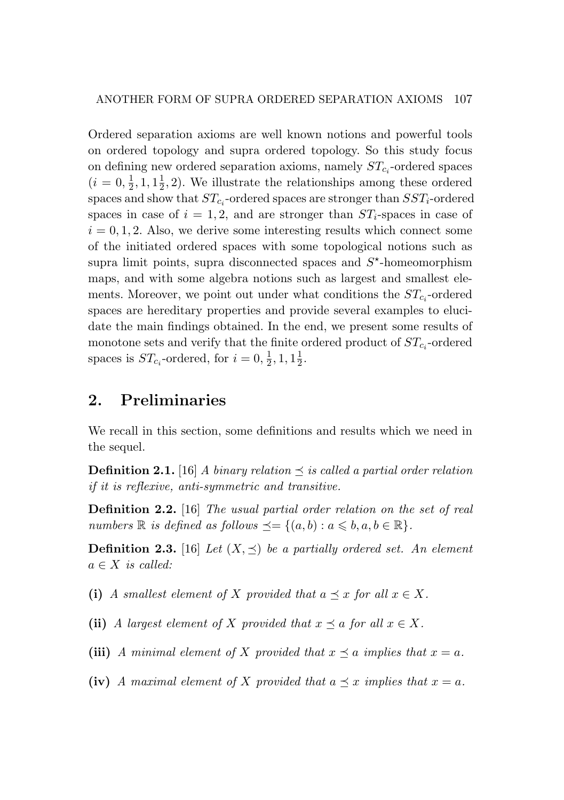Ordered separation axioms are well known notions and powerful tools on ordered topology and supra ordered topology. So this study focus on defining new ordered separation axioms, namely *STc<sup>i</sup>* -ordered spaces  $(i = 0, \frac{1}{2}, 1, 1\frac{1}{2}, 2)$ . We illustrate the relationships among these ordered spaces and show that  $ST_{c_i}$ -ordered spaces are stronger than  $SST_i$ -ordered spaces in case of  $i = 1, 2$ , and are stronger than  $ST_i$ -spaces in case of  $i = 0, 1, 2$ . Also, we derive some interesting results which connect some of the initiated ordered spaces with some topological notions such as supra limit points, supra disconnected spaces and  $S^*$ -homeomorphism maps, and with some algebra notions such as largest and smallest elements. Moreover, we point out under what conditions the  $ST_{c_i}$ -ordered spaces are hereditary properties and provide several examples to elucidate the main findings obtained. In the end, we present some results of monotone sets and verify that the finite ordered product of  $ST_{c_i}$ -ordered spaces is  $ST_{c_i}$ -ordered, for  $i = 0, \frac{1}{2}, 1, 1\frac{1}{2}$ .

### 2. Preliminaries

We recall in this section, some definitions and results which we need in the sequel.

**Definition 2.1.** [16] *A binary relation*  $\preceq$  *is called a partial order relation if it is reflexive, anti-symmetric and transitive.*

Definition 2.2. [16] *The usual partial order relation on the set of real numbers*  $\mathbb{R}$  *is defined as follows*  $\preceq = \{(a, b) : a \leq b, a, b \in \mathbb{R}\}.$ 

**Definition 2.3.** [16] *Let*  $(X, \preceq)$  *be a partially ordered set. An element*  $a \in X$  *is called:* 

(i) *A smallest element of X provided that*  $a \preceq x$  *for all*  $x \in X$ *.* 

(ii) *A largest element of X provided that*  $x \preceq a$  *for all*  $x \in X$ *.* 

(iii) *A* minimal element of *X* provided that  $x \preceq a$  implies that  $x = a$ .

(iv) *A* maximal element of *X* provided that  $a \preceq x$  implies that  $x = a$ .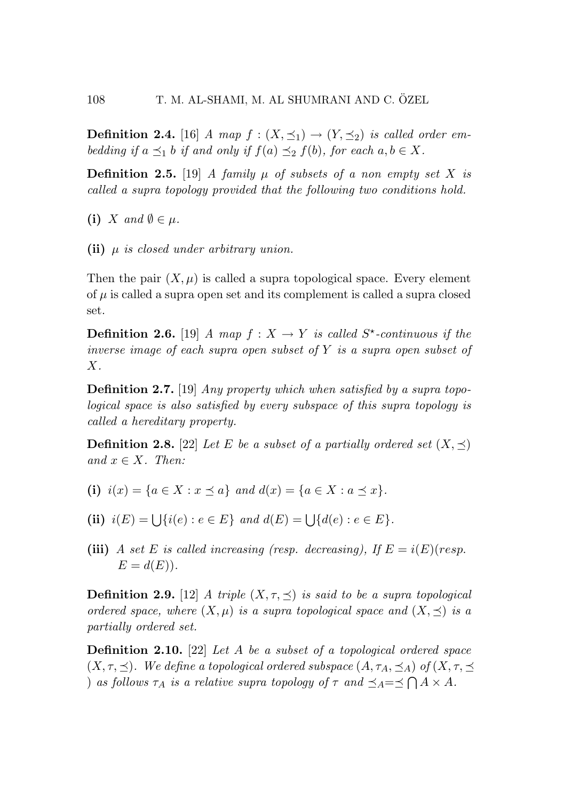**Definition 2.4.** [16] *A map*  $f : (X, \preceq_1) \to (Y, \preceq_2)$  *is called order embedding if*  $a \preceq_1 b$  *if and only if*  $f(a) \preceq_2 f(b)$ *, for each*  $a, b \in X$ *.* 

**Definition 2.5.** [19] *A family*  $\mu$  *of subsets of a non empty set X is called a supra topology provided that the following two conditions hold.*

(i) *X* and  $\emptyset \in \mu$ .

(ii) *µ is closed under arbitrary union.*

Then the pair  $(X, \mu)$  is called a supra topological space. Every element of  $\mu$  is called a supra open set and its complement is called a supra closed set.

**Definition 2.6.** [19] *A* map  $f: X \rightarrow Y$  is called  $S^*$ -continuous if the *inverse image of each supra open subset of Y is a supra open subset of X.*

Definition 2.7. [19] *Any property which when satisfied by a supra topological space is also satisfied by every subspace of this supra topology is called a hereditary property.*

**Definition 2.8.** [22] *Let E be a subset of a partially ordered set*  $(X, \preceq)$  $and x \in X$ *. Then:* 

- (i)  $i(x) = \{a \in X : x \leq a\}$  and  $d(x) = \{a \in X : a \leq x\}.$
- (ii)  $i(E) = \left\{ \{i(e) : e \in E \} \text{ and } d(E) = \left\{ \{d(e) : e \in E \} \right\}.$
- (iii) *A set E is called increasing (resp. decreasing), If*  $E = i(E)(resp.$  $E = d(E)$ .

**Definition 2.9.** [12] *A triple*  $(X, \tau, \leq)$  *is said to be a supra topological ordered space, where*  $(X, \mu)$  *is a supra topological space and*  $(X, \preceq)$  *is a partially ordered set.*

Definition 2.10. [22] *Let A be a subset of a topological ordered space*  $(X, \tau, \preceq)$ *. We define a topological ordered subspace*  $(A, \tau_A, \preceq_A)$  *of*  $(X, \tau, \preceq_A)$ ) *as follows*  $\tau_A$  *is a relative supra topology of*  $\tau$  *and*  $\preceq_A = \preceq \bigcap A \times A$ *.*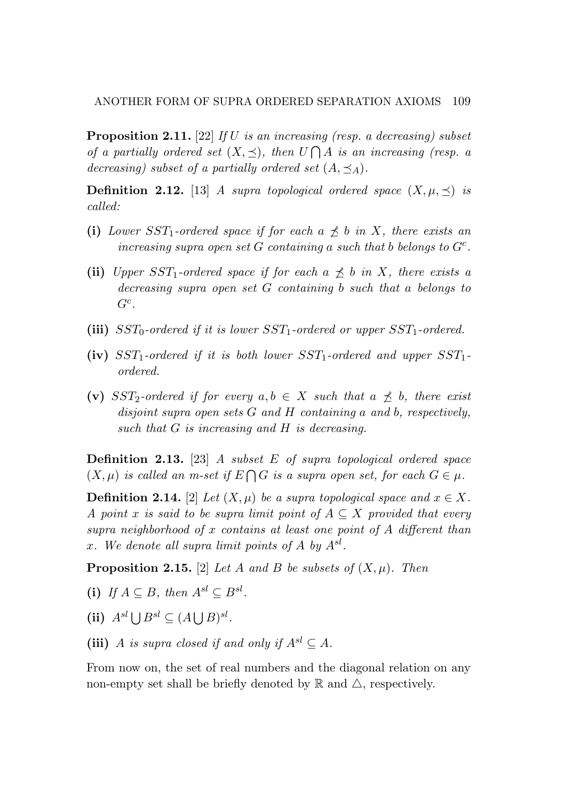Proposition 2.11. [22] *If U is an increasing (resp. a decreasing) subset of a partially ordered set*  $(X, \preceq)$ *, then*  $U \bigcap A$  *is an increasing (resp. a decreasing) subset of a partially ordered set*  $(A, \preceq_A)$ .

**Definition 2.12.** [13] *A supra topological ordered space*  $(X, \mu, \preceq)$  *is called:*

- (i) *Lower*  $SST_1$ -ordered space if for each  $a \npreceq b$  in X, there exists an *increasing supra open set G containing a such that b belongs to Gc.*
- (ii) *Upper*  $SST_1$ -ordered space if for each  $a \npreceq b$  in X, there exists a *decreasing supra open set G containing b such that a belongs to Gc.*
- (iii) *SST*0*-ordered if it is lower SST*1*-ordered or upper SST*1*-ordered.*
- (iv) *SST*1*-ordered if it is both lower SST*1*-ordered and upper SST*1 *ordered.*
- (v) *SST*<sub>2</sub>*-ordered if for every*  $a, b \in X$  *such that*  $a \npreceq b$ *, there exist disjoint supra open sets G and H containing a and b, respectively, such that G is increasing and H is decreasing.*

Definition 2.13. [23] *A subset E of supra topological ordered space*  $(X, \mu)$  *is called an m-set if*  $E \cap G$  *is a supra open set, for each*  $G \in \mu$ .

**Definition 2.14.** [2] *Let*  $(X, \mu)$  *be a supra topological space and*  $x \in X$ *. A* point *x* is said to be supra limit point of  $A \subseteq X$  provided that every *supra neighborhood of x contains at least one point of A different than x. We denote all supra limit points of A by Asl.*

**Proposition 2.15.** [2] *Let A* and *B be subsets of*  $(X, \mu)$ *. Then* 

- (i) *If*  $A \subseteq B$ *, then*  $A^{sl} \subseteq B^{sl}$ *.*
- (ii)  $A^{sl} \cup B^{sl} \subset (A \cup B)^{sl}$ *.*
- (iii) *A is supra closed if and only if*  $A^{sl} \subseteq A$ *.*

From now on, the set of real numbers and the diagonal relation on any non-empty set shall be briefly denoted by  $\mathbb R$  and  $\triangle$ , respectively.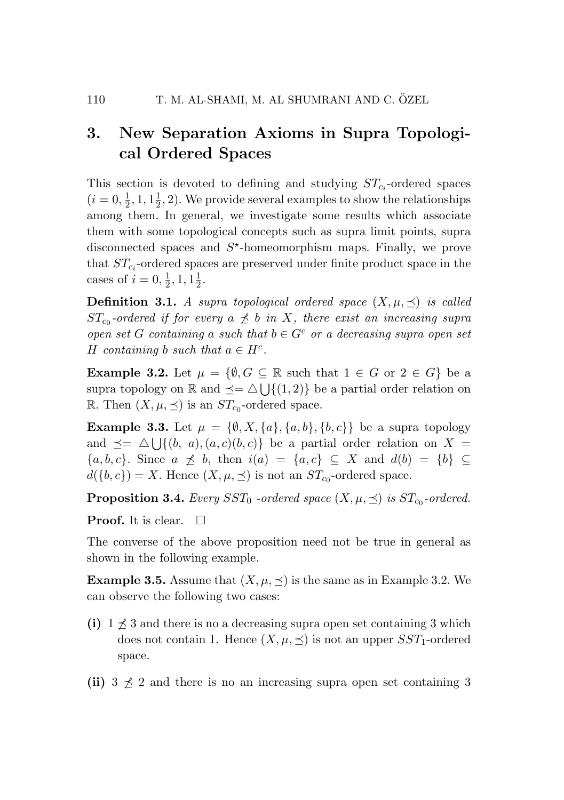# 3. New Separation Axioms in Supra Topological Ordered Spaces

This section is devoted to defining and studying  $ST_{c_i}$ -ordered spaces  $(i = 0, \frac{1}{2}, 1, 1\frac{1}{2}, 2)$ . We provide several examples to show the relationships among them. In general, we investigate some results which associate them with some topological concepts such as supra limit points, supra disconnected spaces and  $S^*$ -homeomorphism maps. Finally, we prove that  $ST_{c_i}$ -ordered spaces are preserved under finite product space in the cases of  $i = 0, \frac{1}{2}, 1, 1\frac{1}{2}$ .

**Definition 3.1.** *A supra topological ordered space*  $(X, \mu, \leq)$  *is called ST*<sub>c0</sub>-ordered if for every  $a \not\preceq b$  *in X, there exist an increasing supra open set G containing a such that*  $b \in G^c$  *or a decreasing supra open set H containing b such that*  $a \in H^c$ *.* 

**Example 3.2.** Let  $\mu = \{\emptyset, G \subseteq \mathbb{R} \text{ such that } 1 \in G \text{ or } 2 \in G\}$  be a supra topology on  $\mathbb{R}$  and  $\preceq = \triangle \cup \{ (1, 2) \}$  be a partial order relation on R. Then  $(X, \mu, \preceq)$  is an  $ST_{c_0}$ -ordered space.

**Example 3.3.** Let  $\mu = \{\emptyset, X, \{a\}, \{a, b\}, \{b, c\}\}\$ be a supra topology and  $\preceq = \triangle \cup \{(b, a), (a, c)(b, c)\}\$ be a partial order relation on  $X =$ *{* $a, b, c$ *}*. Since  $a \npreceq b$ , then  $i(a) = \{a, c\} ⊆ X$  and  $d(b) = \{b\} ⊆$  $d({b, c}) = X$ . Hence  $(X, \mu, \preceq)$  is not an  $ST_{c_0}$ -ordered space.

**Proposition 3.4.** *Every SST*<sub>0</sub> *-ordered space*  $(X, \mu, \preceq)$  *is*  $ST_{c_0}$ *-ordered.* 

**Proof.** It is clear.  $\Box$ 

The converse of the above proposition need not be true in general as shown in the following example.

**Example 3.5.** Assume that  $(X, \mu, \leq)$  is the same as in Example 3.2. We can observe the following two cases:

- (i)  $1 \nleq 3$  and there is no a decreasing supra open set containing 3 which does not contain 1. Hence  $(X, \mu, \preceq)$  is not an upper *SST*<sub>1</sub>-ordered space.
- (ii)  $3 \nless 2$  and there is no an increasing supra open set containing 3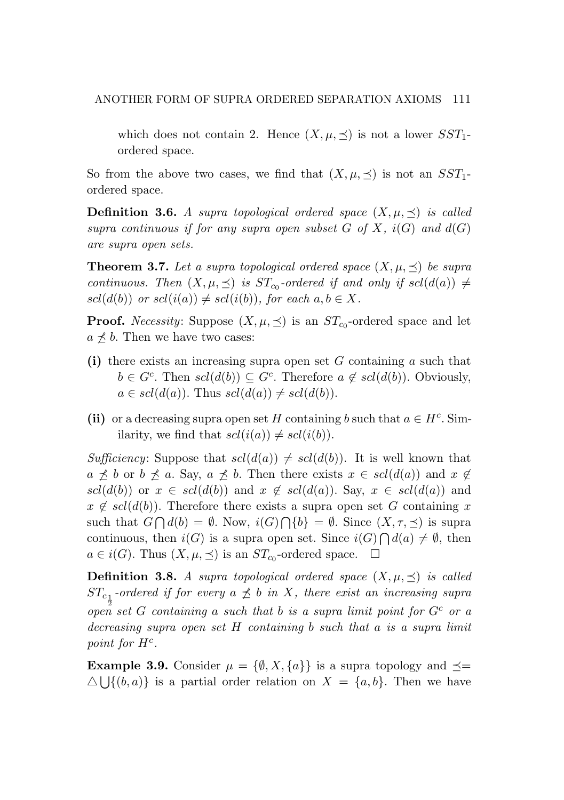which does not contain 2. Hence  $(X, \mu, \preceq)$  is not a lower  $SST_1$ ordered space.

So from the above two cases, we find that  $(X, \mu, \preceq)$  is not an *SST*<sub>1</sub>ordered space.

**Definition 3.6.** A supra topological ordered space  $(X, \mu, \leq)$  is called *supra continuous if for any supra open subset*  $G$  *of*  $X$ *,*  $i(G)$  *and*  $d(G)$ *are supra open sets.*

**Theorem 3.7.** Let a supra topological ordered space  $(X, \mu, \leq)$  be supra *continuous.* Then  $(X, \mu, \leq)$  *is*  $ST_{c_0}$ -ordered if and only if  $scl(d(a)) \neq$  $scl(d(b))$  *or*  $scl(i(a)) \neq scl(i(b))$ *, for each*  $a, b \in X$ *.* 

**Proof.** *Necessity*: Suppose  $(X, \mu, \leq)$  is an  $ST_{c0}$ -ordered space and let  $a \npreceq b$ . Then we have two cases:

- (i) there exists an increasing supra open set *G* containing *a* such that  $b \in G^c$ . Then  $scl(d(b)) \subseteq G^c$ . Therefore  $a \notin scl(d(b))$ . Obviously,  $a \in \text{scl}(d(a))$ . Thus  $\text{scl}(d(a)) \neq \text{scl}(d(b))$ .
- (ii) or a decreasing supra open set *H* containing *b* such that  $a \in H^c$ . Similarity, we find that  $scl(i(a)) \neq scl(i(b)).$

*Sufficiency*: Suppose that  $scl(d(a)) \neq scl(d(b))$ . It is well known that  $a \not\preceq b$  or  $b \not\preceq a$ . Say,  $a \not\preceq b$ . Then there exists  $x \in \text{cl}(d(a))$  and  $x \not\in$  $scl(d(b))$  or  $x \in scl(d(b))$  and  $x \notin scl(d(a))$ . Say,  $x \in scl(d(a))$  and  $x \notin \text{sel}(d(b))$ . Therefore there exists a supra open set *G* containing *x* such that  $G \cap d(b) = \emptyset$ . Now,  $i(G) \cap \{b\} = \emptyset$ . Since  $(X, \tau, \preceq)$  is supra continuous, then *i*(*G*) is a supra open set. Since  $i(G) \cap d(a) \neq \emptyset$ , then *a* ∈ *i*(*G*). Thus  $(X, \mu, \leq)$  is an *ST*<sub>*c*0</sub>-ordered space.  $\Box$ 

**Definition 3.8.** A supra topological ordered space  $(X, \mu, \preceq)$  is called  $ST_{c_{\frac{1}{2}}}$ -ordered if for every  $a \npreceq b$  in X, there exist an increasing supra 2 *open set G containing a such that b is a supra limit point for G<sup>c</sup> or a decreasing supra open set H containing b such that a is a supra limit point for*  $H^c$ *.* 

**Example 3.9.** Consider  $\mu = \{\emptyset, X, \{a\}\}\$ is a supra topology and  $\preceq$  $\Delta \bigcup \{(b, a)\}\$ is a partial order relation on  $X = \{a, b\}$ . Then we have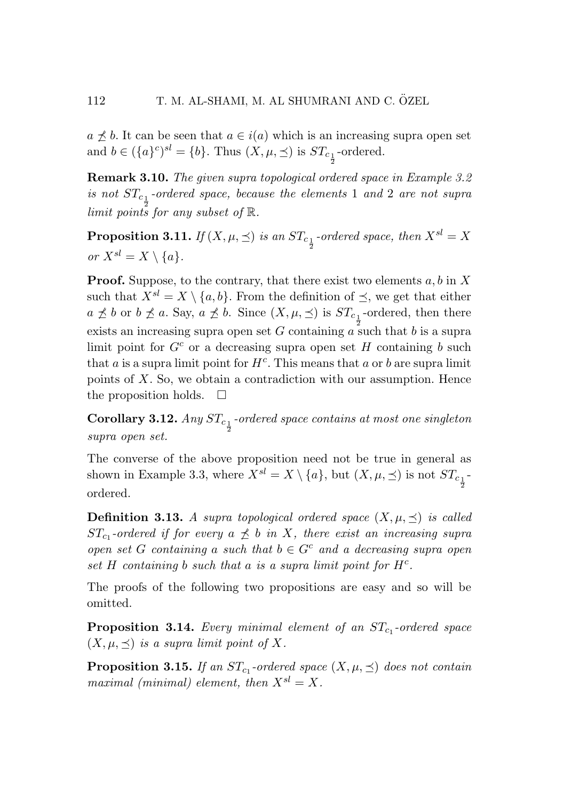$a \nless b$ . It can be seen that  $a \in i(a)$  which is an increasing supra open set and  $b \in (\{a\}^c)^{sl} = \{b\}$ . Thus  $(X, \mu, \preceq)$  is  $ST_{c_{\frac{1}{2}}}$ -ordered.

2

Remark 3.10. *The given supra topological ordered space in Example 3.2*  $i$ *s* not  $ST_{c_1}$ -ordered space, because the elements 1 and 2 are not supra 2 *limit points for any subset of* R*.*

Proposition 3.11. *If*  $(X, \mu, \leq)$  *is an*  $ST_{c_{\frac{1}{2}}}$ -ordered space, then  $X^{sl} = X$ *or*  $X^{sl} = X \setminus \{a\}$ *.* 

Proof. Suppose, to the contrary, that there exist two elements *a, b* in *X* such that  $X^{sl} = X \setminus \{a, b\}$ . From the definition of  $\preceq$ , we get that either  $a \nleq b$  or  $b \nleq a$ . Say,  $a \nleq b$ . Since  $(X, \mu, \leq)$  is  $ST_{c_{\frac{1}{2}}}$ -ordered, then there exists an increasing supra open set *G* containing *a* such that *b* is a supra limit point for  $G^c$  or a decreasing supra open set *H* containing *b* such that  $a$  is a supra limit point for  $H^c$ . This means that  $a$  or  $b$  are supra limit points of *X*. So, we obtain a contradiction with our assumption. Hence the proposition holds.  $\square$ 

**Corollary 3.12.** *Any*  $ST_{c_{\frac{1}{2}}}$ -ordered space contains at most one singleton *supra open set.*

The converse of the above proposition need not be true in general as shown in Example 3.3, where  $X^{sl} = X \setminus \{a\}$ , but  $(X, \mu, \preceq)$  is not  $ST_{c_{\frac{1}{2}}}$ 2 ordered.

**Definition 3.13.** *A supra topological ordered space*  $(X, \mu, \leq)$  *is called ST*<sub>c1</sub>-ordered if for every  $a \not\preceq b$  in X, there exist an increasing supra *open set G containing a such that*  $b \in G^c$  *and a decreasing supra open set H containing b such that a is a supra limit point for Hc.*

The proofs of the following two propositions are easy and so will be omitted.

**Proposition 3.14.** *Every minimal element of an*  $ST_{c_1}$ *-ordered space*  $(X, \mu, \preceq)$  *is a supra limit point of* X.

**Proposition 3.15.** *If an*  $ST_{c_1}$ *-ordered space*  $(X, \mu, \preceq)$  *does not contain maximal (minimal) element, then*  $X^{sl} = X$ .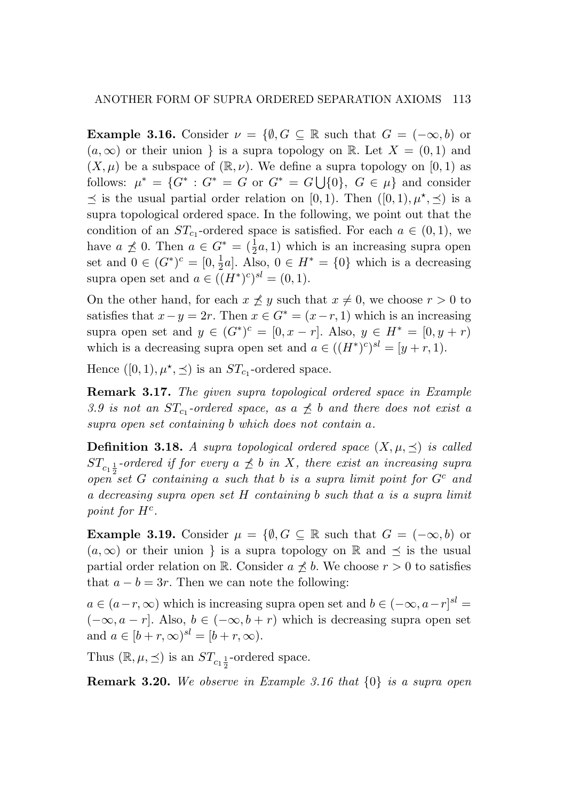**Example 3.16.** Consider  $\nu = \{\emptyset, G \subseteq \mathbb{R} \text{ such that } G = (-\infty, b) \text{ or }$  $(a, \infty)$  or their union *}* is a supra topology on R. Let  $X = (0, 1)$  and  $(X, \mu)$  be a subspace of  $(\mathbb{R}, \nu)$ . We define a supra topology on  $[0, 1)$  as follows:  $\mu^* = \{G^* : G^* = G \text{ or } G^* = G \cup \{0\}, G \in \mu\}$  and consider  $\prec$  is the usual partial order relation on [0, 1). Then  $([0,1), \mu^*, \prec)$  is a supra topological ordered space. In the following, we point out that the condition of an  $ST_{c_1}$ -ordered space is satisfied. For each  $a \in (0,1)$ , we have  $a \not\preceq 0$ . Then  $a \in G^* = (\frac{1}{2}a, 1)$  which is an increasing supra open set and 0 ∈  $(G^*)^c = [0, \frac{1}{2}a]$ . Also, 0 ∈  $H^* = \{0\}$  which is a decreasing supra open set and  $a \in ((H^*)^c)^{sl} = (0,1)$ .

On the other hand, for each  $x \nleq y$  such that  $x \neq 0$ , we choose  $r > 0$  to satisfies that  $x - y = 2r$ . Then  $x \in G^* = (x - r, 1)$  which is an increasing supra open set and  $y \in (G^*)^c = [0, x - r]$ . Also,  $y \in H^* = [0, y + r)$ which is a decreasing supra open set and  $a \in ((H^*)^c)^{sl} = [y + r, 1]$ .

Hence  $([0, 1), \mu^*, \preceq)$  is an  $ST_{c_1}$ -ordered space.

Remark 3.17. *The given supra topological ordered space in Example* 3.9 is not an  $ST_{c_1}$ -ordered space, as  $a \nless b$  and there does not exist a *supra open set containing b which does not contain a.*

**Definition 3.18.** A supra topological ordered space  $(X, \mu, \prec)$  is called  $ST_{c_1\frac{1}{2}}$ -ordered if for every  $a \npreceq b$  in X, there exist an increasing supra  $\int_{0}^{\sqrt{1}}$  and  $\int_{0}^{\sqrt{1}}$  *containing a such that b is a supra limit point for*  $G^c$  *and a decreasing supra open set H containing b such that a is a supra limit point for*  $H^c$ *.* 

**Example 3.19.** Consider  $\mu = \{\emptyset, G \subseteq \mathbb{R} \text{ such that } G = (-\infty, b) \text{ or }$  $(a, \infty)$  or their union *}* is a supra topology on R and  $\preceq$  is the usual partial order relation on R. Consider  $a \nless b$ . We choose  $r > 0$  to satisfies that  $a - b = 3r$ . Then we can note the following:

 $a \in (a-r, \infty)$  which is increasing supra open set and  $b \in (-\infty, a-r]^{\text{sl}}$  =  $(-\infty, a - r]$ . Also,  $b \in (-\infty, b + r)$  which is decreasing supra open set and  $a \in [b + r, \infty)^{sl} = [b + r, \infty)$ .

Thus  $(\mathbb{R}, \mu, \preceq)$  is an  $ST_{c_1 \frac{1}{2}}$ -ordered space.

Remark 3.20. *We observe in Example 3.16 that {*0*} is a supra open*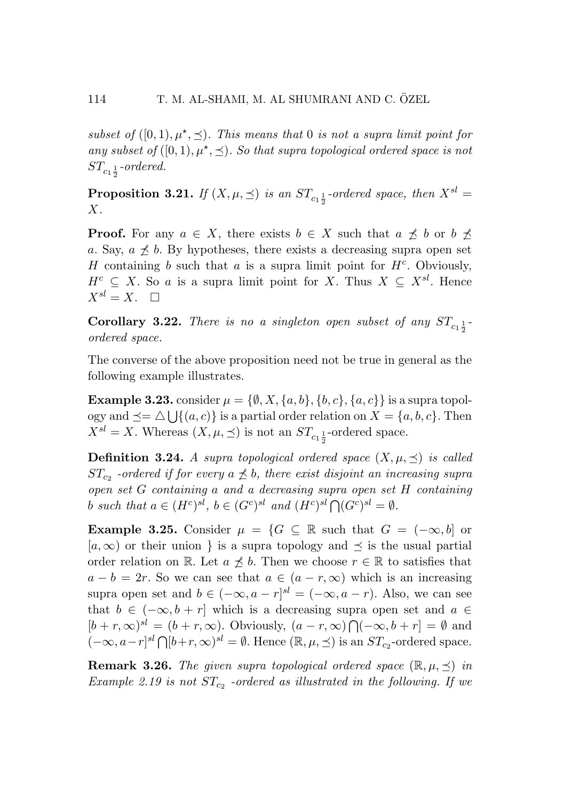*subset of*  $([0,1), \mu^*, \preceq)$ *. This means that* 0 *is not a supra limit point for any subset of*  $([0,1), \mu^*, \preceq)$ *. So that supra topological ordered space is not*  $ST_{c_1\frac{1}{2}}$ -ordered.

Proposition 3.21. *If*  $(X, \mu, \preceq)$  *is an*  $ST_{c_1\frac{1}{2}}$ -ordered space, then  $X^{sl} = Y$ *X.*

**Proof.** For any  $a \in X$ , there exists  $b \in X$  such that  $a \npreceq b$  or  $b \npreceq$ *a*. Say,  $a \nless b$ . By hypotheses, there exists a decreasing supra open set *H* containing *b* such that *a* is a supra limit point for *Hc*. Obviously,  $H^c \subseteq X$ . So *a* is a supra limit point for *X*. Thus  $X \subseteq X^{sl}$ . Hence  $X^{sl} = X$ .  $\Box$ 

**Corollary 3.22.** There is no a singleton open subset of any  $ST_{c_1\frac{1}{2}}$ *ordered space.*

The converse of the above proposition need not be true in general as the following example illustrates.

**Example 3.23.** consider  $\mu = \{\emptyset, X, \{a, b\}, \{b, c\}, \{a, c\}\}\$ is a supra topology and  $\preceq = \triangle \bigcup \{(a, c)\}\$ is a partial order relation on  $X = \{a, b, c\}$ . Then  $X^{sl} = X$ . Whereas  $(X, \mu, \leq)$  is not an  $ST_{c_1 \frac{1}{2}}$ -ordered space.

**Definition 3.24.** *A supra topological ordered space*  $(X, \mu, \leq)$  *is called ST*<sub>c2</sub> *-ordered if for every*  $a \nleq b$ , there exist disjoint an increasing supra *open set G containing a and a decreasing supra open set H containing b such that*  $a \in (H^c)^{sl}$ ,  $b \in (G^c)^{sl}$  *and*  $(H^c)^{sl} \bigcap (G^c)^{sl} = \emptyset$ .

**Example 3.25.** Consider  $\mu = \{G \subseteq \mathbb{R} \text{ such that } G = (-\infty, b] \text{ or }$  $[a,\infty)$  or their union *}* is a supra topology and  $\preceq$  is the usual partial order relation on R. Let  $a \nless b$ . Then we choose  $r \in \mathbb{R}$  to satisfies that  $a - b = 2r$ . So we can see that  $a \in (a - r, \infty)$  which is an increasing supra open set and  $b \in (-\infty, a - r]^{sl} = (-\infty, a - r)$ . Also, we can see that  $b \in (-\infty, b + r]$  which is a decreasing supra open set and  $a \in$  $[b + r, \infty)^{sl} = (b + r, \infty)$ . Obviously,  $(a - r, \infty) \bigcap (-\infty, b + r] = \emptyset$  and  $(-\infty, a-r]^{\text{sl}} \bigcap [b+r, \infty)^{\text{sl}} = \emptyset$ . Hence  $(\mathbb{R}, \mu, \leq)$  is an  $ST_{c_2}$ -ordered space.

**Remark 3.26.** The given supra topological ordered space  $(\mathbb{R}, \mu, \preceq)$  in *Example 2.19 is not STc*<sup>2</sup> *-ordered as illustrated in the following. If we*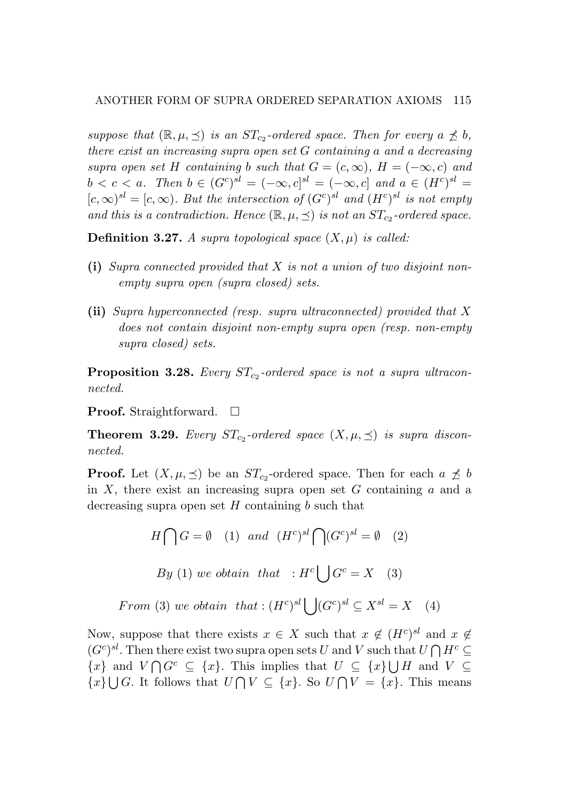*suppose that*  $(\mathbb{R}, \mu, \leq)$  *is an*  $ST_{c_2}$ *-ordered space. Then for every*  $a \nleq b$ , *there exist an increasing supra open set G containing a and a decreasing supra open set H containing b such that*  $G = (c, \infty)$ ,  $H = (-\infty, c)$  *and*  $b < c < a$ *. Then*  $b \in (G^c)^{sl} = (-\infty, c]^{sl} = (-\infty, c]$  and  $a \in (H^c)^{sl} =$  $[c, \infty)^{sl} = [c, \infty)$ *. But the intersection of*  $(G<sup>c</sup>)<sup>sl</sup>$  *and*  $(H<sup>c</sup>)<sup>sl</sup>$  *is not empty and this is a contradiction. Hence*  $(\mathbb{R}, \mu, \leq)$  *is not an*  $ST_{c_2}$ *-ordered space.* 

**Definition 3.27.** A supra topological space  $(X, \mu)$  is called:

- (i) *Supra connected provided that X is not a union of two disjoint nonempty supra open (supra closed) sets.*
- (ii) *Supra hyperconnected (resp. supra ultraconnected) provided that X does not contain disjoint non-empty supra open (resp. non-empty supra closed) sets.*

**Proposition 3.28.** *Every*  $ST_{c_2}$ -ordered space is not a supra ultracon*nected.*

**Proof.** Straightforward.  $\Box$ 

**Theorem 3.29.** Every  $ST_{c2}$ -ordered space  $(X, \mu, \preceq)$  is supra discon*nected.*

**Proof.** Let  $(X, \mu, \leq)$  be an  $ST_{c2}$ -ordered space. Then for each  $a \not\preceq b$ in *X*, there exist an increasing supra open set *G* containing *a* and a decreasing supra open set *H* containing *b* such that

$$
H \bigcap G = \emptyset \quad (1) \quad and \quad (H^c)^{sl} \bigcap (G^c)^{sl} = \emptyset \quad (2)
$$
\n
$$
By \ (1) \, we \, obtain \, that \quad : H^c \bigcup G^c = X \quad (3)
$$
\n
$$
From \ (3) \, we \, obtain \, that \, : (H^c)^{sl} \bigcup (G^c)^{sl} \subseteq X^{sl} = X \quad (4)
$$

Now, suppose that there exists  $x \in X$  such that  $x \notin (H^c)^{sl}$  and  $x \notin$  $(G<sup>c</sup>)<sup>sl</sup>$ . Then there exist two supra open sets *U* and *V* such that  $U \cap H<sup>c</sup> \subseteq$ *{x}* and *V*  $\bigcap G^c$  *⊆ {x}*. This implies that *U ⊆ {x}* $\bigcup H$  and *V ⊆ {x}* $\bigcup$ *G*. It follows that *U*  $\bigcap$  *V* ⊆ *{x}*. So *U*  $\bigcap$  *V* = *{x}*. This means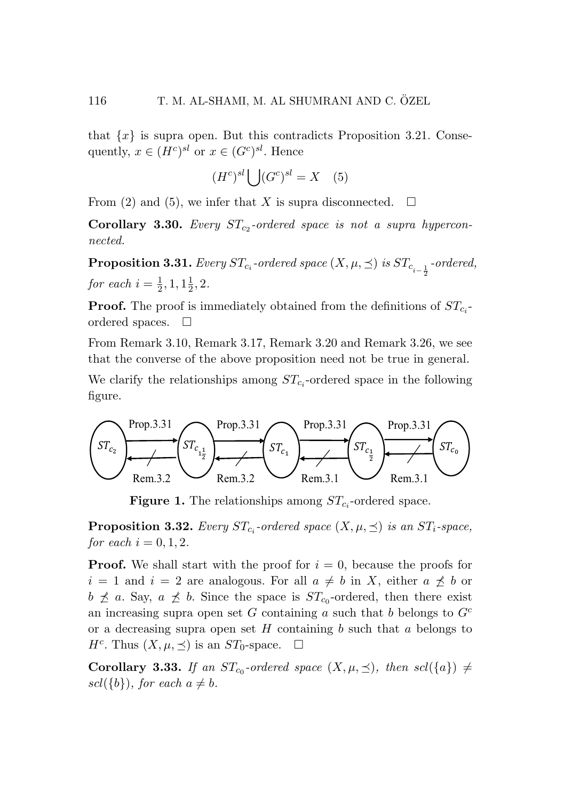that  $\{x\}$  is supra open. But this contradicts Proposition 3.21. Consequently,  $x \in (H^c)^{sl}$  or  $x \in (G^c)^{sl}$ . Hence

$$
(H^c)^{sl} \bigcup (G^c)^{sl} = X \quad (5)
$$

From (2) and (5), we infer that *X* is supra disconnected.  $\square$ 

Corollary 3.30. *Every STc*<sup>2</sup> *-ordered space is not a supra hyperconnected.*

 $\textbf{Proposition 3.31.} \textit{ Every } ST_{c_i}\textit{-ordered space } (X, \mu, \preceq) \textit{ is } ST_{c_{i-\frac{1}{2}}}\textit{-ordered,}$ *for each*  $i = \frac{1}{2}, 1, 1\frac{1}{2}, 2$ *.* 

Proof. The proof is immediately obtained from the definitions of *STc<sup>i</sup>* ordered spaces.  $\square$ 

From Remark 3.10, Remark 3.17, Remark 3.20 and Remark 3.26, we see that the converse of the above proposition need not be true in general.

We clarify the relationships among  $ST_{c_i}$ -ordered space in the following figure.



**Figure 1.** The relationships among  $ST_{c_i}$ -ordered space.

**Proposition 3.32.** Every  $ST_{c_i}$ -ordered space  $(X, \mu, \preceq)$  is an  $ST_i$ -space, *for each*  $i = 0, 1, 2$ .

**Proof.** We shall start with the proof for  $i = 0$ , because the proofs for  $i = 1$  and  $i = 2$  are analogous. For all  $a \neq b$  in X, either  $a \not\preceq b$  or  $b \not\preceq a$ . Say,  $a \not\preceq b$ . Since the space is  $ST_{c_0}$ -ordered, then there exist an increasing supra open set *G* containing *a* such that *b* belongs to *G<sup>c</sup>* or a decreasing supra open set *H* containing *b* such that *a* belongs to  $H^c$ . Thus  $(X, \mu, \preceq)$  is an *ST*<sub>0</sub>-space.  $\square$ 

**Corollary 3.33.** *If an ST*<sub>*c*0</sub>-ordered space  $(X, \mu, \preceq)$ , then  $\text{scl}(\{a\}) \neq$  $\text{gcd}(\{b\})$ *, for each*  $a \neq b$ *.*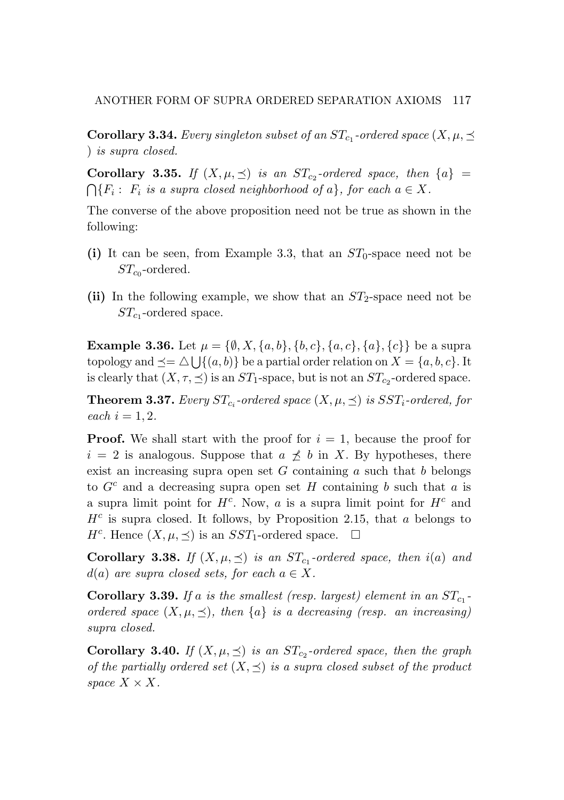**Corollary 3.34.** *Every singleton subset of an*  $ST_{c_1}$ -ordered space  $(X, \mu, \preceq)$ ) *is supra closed. is supra closed.*

**Corollary 3.35.** If  $(X, \mu, \preceq)$  is an  $ST_{c_2}$ -ordered space, then  $\{a\}$  =  $\bigcap \{F_i : F_i$  is a supra closed neighborhood of  $a\}$ , for each  $a \in X$ .  $\bigcap \{F_i : F_i \text{ is a supra closed neighborhood of } a\}, \text{ for each } a \in X.$ 

The converse of the above proposition need not be true as shown in the converse of the above proposition need not be true as shown in the following: following:

- (i) It can be seen, from Example 3.3, that an  $ST_0$ -space need not be *STc*<sup>0</sup> -ordered. *STc*<sup>0</sup> -ordered.
- (ii) In the following example, we show that an  $ST_2$ -space need not be *STc*<sup>1</sup> -ordered space. *STc*<sup>1</sup> -ordered space.

**Example 3.36.** Let  $\mu = \{\emptyset, X, \{a, b\}, \{b, c\}, \{a, c\}, \{a\}, \{c\}\}\$ be a supra topology and  $\preceq = \triangle \bigcup \{(a, b)\}\$ be a partial order relation on  $X = \{a, b, c\}$ . It is clearly that  $(X, \tau, \leq)$  is an  $ST_1$ -space, but is not an  $ST_{c_2}$ -ordered space.

**Theorem 3.37.** Every  $ST_{c_i}$ -ordered space  $(X, \mu, \preceq)$  is  $SST_i$ -ordered, for *each*  $i = 1, 2$ *.* 

Proof. We shall start with the proof for *i* = 1, because the proof for Proof. We shall start with the proof for *i* = 1, because the proof for  $i = 2$  is analogous. Suppose that  $a \not\preceq b$  in *X*. By hypotheses, there exist an increasing supra open set  $G$  containing  $a$  such that  $b$  belongs to  $G^c$  and a decreasing supra open set *H* containing *b* such that *a* is a supra limit point for *Hc*. Now, *a* is a supra limit point for *H<sup>c</sup>* and a supra limit point for *Hc*. Now, *a* is a supra limit point for *H<sup>c</sup>* and *H<sup>c</sup>* is supra closed. It follows, by Proposition 2.15, that *a* belongs to *Hc*is supra closed. It follows, by Proposition 2.15, that *a* belongs to *H<sup>c</sup>*. Hence  $(X, \mu, \leq)$  is an *SST*<sub>1</sub>-ordered space.  $\Box$ 

**Corollary 3.38.** If  $(X, \mu, \leq)$  is an  $ST_{c_1}$ -ordered space, then  $i(a)$  and  $d(a)$  *are supra closed sets, for each*  $a \in X$ *.* 

**Corollary 3.39.** If a is the smallest (resp. largest) element in an  $ST_{c_1}$ ordered space  $(X, \mu, \preceq)$ , then  $\{a\}$  is a decreasing (resp. an increasing) *supra closed. supra closed.*

**Corollary 3.40.** *If*  $(X, \mu, \leq)$  *is an*  $ST_{c_2}$ *-ordered space, then the graph of the partially ordered set*  $(X, \leq)$  *is a supra closed subset of the product space*  $X \times X$ *.*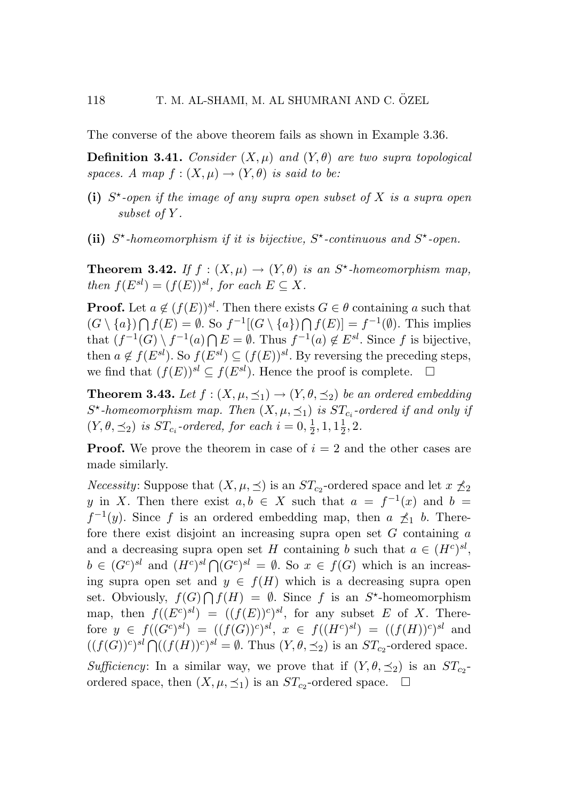The converse of the above theorem fails as shown in Example 3.36.

**Definition 3.41.** *Consider*  $(X, \mu)$  *and*  $(Y, \theta)$  *are two supra topological spaces. A map*  $f : (X, \mu) \to (Y, \theta)$  *is said to be:* 

- (i) *S-open if the image of any supra open subset of X is a supra open subset of Y .*
- (ii)  $S^*$ -homeomorphism if it is bijective,  $S^*$ -continuous and  $S^*$ -open.

**Theorem 3.42.** *If*  $f : (X, \mu) \to (Y, \theta)$  *is an*  $S^*$ -homeomorphism map, *then*  $f(E^{sl}) = (f(E))^{sl}$ *, for each*  $E \subseteq X$ *.* 

**Proof.** Let  $a \notin (f(E))^{sl}$ . Then there exists  $G \in \theta$  containing *a* such that  $(G \setminus \{a\})$   $\bigcap$   $f(E) = ∅$ . So  $f^{-1}[(G \setminus \{a\}) \bigcap f(E)] = f^{-1}(\emptyset)$ . This implies that  $(f^{-1}(G) \setminus f^{-1}(a) \cap E = \emptyset$ . Thus  $f^{-1}(a) \notin E^{sl}$ . Since *f* is bijective, then  $a \notin f(E^{sl})$ . So  $f(E^{sl}) \subseteq (f(E))^{sl}$ . By reversing the preceding steps, we find that  $(f(E))^{sl} ⊂ f(E^{sl})$ . Hence the proof is complete.  $□$ 

**Theorem 3.43.** *Let*  $f : (X, \mu, \preceq_1) \to (Y, \theta, \preceq_2)$  *be an ordered embedding*  $S^*$ -homeomorphism map. Then  $(X, \mu, \preceq_1)$  is  $ST_c$  *-ordered if and only if*  $(Y, \theta, \leq_2)$  *is*  $ST_{c_i}$ -ordered, for each  $i = 0, \frac{1}{2}, 1, 1\frac{1}{2}, 2$ .

**Proof.** We prove the theorem in case of  $i = 2$  and the other cases are made similarly.

*Necessity*: Suppose that  $(X, \mu, \leq)$  is an  $ST_{c2}$ -ordered space and let  $x \nleq_2$ *y* in *X*. Then there exist  $a, b \in X$  such that  $a = f^{-1}(x)$  and  $b = f^{-1}(x)$  $f^{-1}(y)$ . Since f is an ordered embedding map, then  $a \not\preceq_1 b$ . Therefore there exist disjoint an increasing supra open set *G* containing *a* and a decreasing supra open set *H* containing *b* such that  $a \in (H^c)^{sl}$ ,  $b \in (G^c)^{sl}$  and  $(H^c)^{sl} \cap (G^c)^{sl} = \emptyset$ . So  $x \in f(G)$  which is an increasing supra open set and  $y \in f(H)$  which is a decreasing supra open set. Obviously,  $f(G) \cap f(H) = \emptyset$ . Since *f* is an *S*<sup>\*</sup>-homeomorphism map, then  $f((E^c)^{sl}) = ((f(E))^c)^{sl}$ , for any subset *E* of *X*. Therefore  $y \in f((G^c)^{sl}) = ((f(G))^c)^{sl}, x \in f((H^c)^{sl}) = ((f(H))^c)^{sl}$  and  $((f(G))^c)^{sl} \bigcap ((f(H))^c)^{sl} = \emptyset$ . Thus  $(Y, \theta, \preceq_2)$  is an  $ST_{c_2}$ -ordered space.

*Sufficiency*: In a similar way, we prove that if  $(Y, \theta, \preceq_2)$  is an  $ST_{c_2}$ ordered space, then  $(X, \mu, \preceq_1)$  is an  $ST_{c_2}$ -ordered space.  $\square$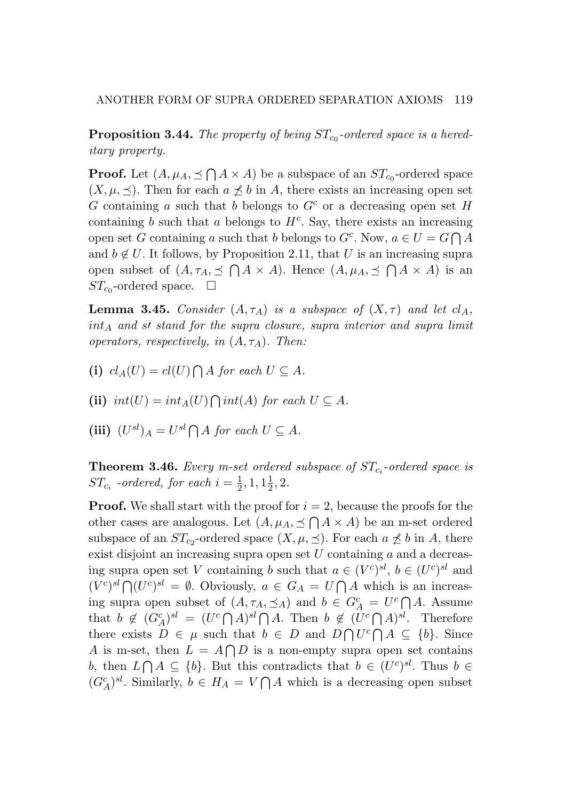**Proposition 3.44.** The property of being  $ST_{c_0}$ -ordered space is a hered*itary property.*

**Proof.** Let  $(A, \mu_A, \leq \bigcap A \times A)$  be a subspace of an  $ST_{c_0}$ -ordered space  $(X, \mu, \preceq)$ . Then for each  $a \not\preceq b$  in *A*, there exists an increasing open set *G* containing *a* such that *b* belongs to *G<sup>c</sup>* or a decreasing open set *H* containing  $b$  such that  $a$  belongs to  $H<sup>c</sup>$ . Say, there exists an increasing open set *G* containing *a* such that *b* belongs to  $G^c$ . Now,  $a \in U = G \cap A$ and  $b \notin U$ . It follows, by Proposition 2.11, that *U* is an increasing supra open subset of  $(A, \tau_A, \leq \bigcap A \times A)$ . Hence  $(A, \mu_A, \leq \bigcap A \times A)$  is an  $ST<sub>co</sub>$ -ordered space.  $\Box$ 

**Lemma 3.45.** *Consider*  $(A, \tau_A)$  *is a subspace of*  $(X, \tau)$  *and let*  $cl_A$ *,*  $int_A$  *and*  $s'$  *stand* for the supra closure, supra interior and supra limit *operators, respectively, in* (*A, τA*)*. Then:*

(i) 
$$
cl_A(U) = cl(U) \bigcap A
$$
 for each  $U \subseteq A$ .

(ii)  $int(U) = int_A(U) \bigcap int(A)$  *for each*  $U \subseteq A$ *.* 

 $(iii)$   $(U^{sl})_A = U^{sl} \bigcap A$  *for each*  $U \subseteq A$ *.* 

Theorem 3.46. *Every m-set ordered subspace of STc<sup>i</sup> -ordered space is ST*<sub>*ci*</sub> *-ordered, for each*  $i = \frac{1}{2}, 1, 1\frac{1}{2}, 2$ *.* 

**Proof.** We shall start with the proof for  $i = 2$ , because the proofs for the other cases are analogous. Let  $(A, \mu_A, \preceq \bigcap A \times A)$  be an m-set ordered subspace of an  $ST_{c2}$ -ordered space  $(X, \mu, \preceq)$ . For each  $a \not\preceq b$  in *A*, there exist disjoint an increasing supra open set *U* containing *a* and a decreasing supra open set *V* containing *b* such that  $a \in (V^c)^{sl}$ ,  $b \in (U^c)^{sl}$  and  $(V^{c})^{sl} \bigcap (U^{c})^{sl} = \emptyset$ . Obviously,  $a \in G_A = U \bigcap A$  which is an increasing supra open subset of  $(A, \tau_A, \preceq_A)$  and  $b \in G_A^c = U^c \cap A$ . Assume that  $b \notin (G_A^c)^{sl} = (U^c \cap A)^{sl} \cap A$ . Then  $b \notin (U^c \cap A)^{sl}$ . Therefore there exists  $D \in \mu$  such that  $b \in D$  and  $D \cap U^c \cap A \subseteq \{b\}$ . Since *A* is m-set, then  $L = A \cap D$  is a non-empty supra open set contains *b*, then  $L \cap A \subseteq \{b\}$ . But this contradicts that  $b \in (U^c)^{sl}$ . Thus  $b \in$  $(G_A^c)^{sl}$ . Similarly,  $b \in H_A = V \cap A$  which is a decreasing open subset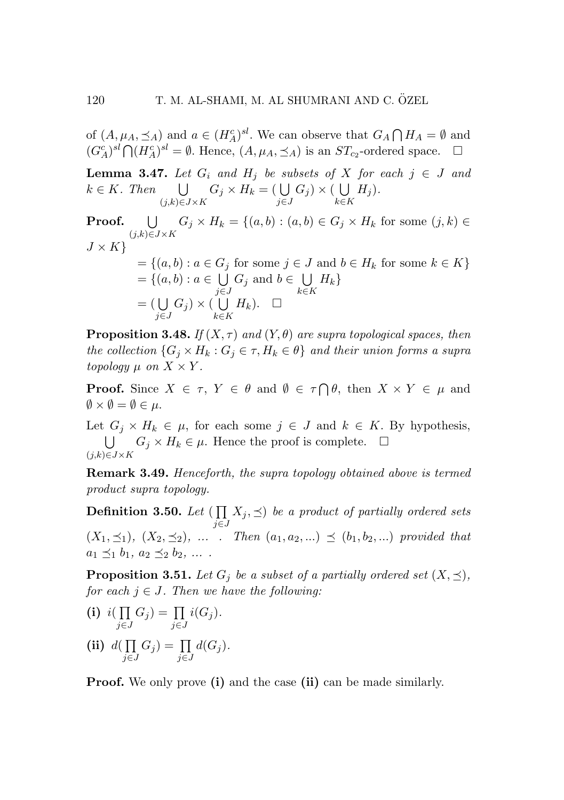of  $(A, \mu_A, \preceq_A)$  and  $a \in (H_A^c)^{sl}$ . We can observe that  $G_A \cap H_A = \emptyset$  and  $(G_A^c)^{sl} \bigcap (H_A^c)^{sl} = \emptyset$ . Hence,  $(A, \mu_A, \preceq_A)$  is an  $ST_{c_2}$ -ordered space.  $\square$ 

**Lemma 3.47.** Let  $G_i$  and  $H_j$  be subsets of  $X$  for each  $j \in J$  and  $k ∈ K$ *. Then* ∪ (*j,k*)*∈J×K*  $G_j \times H_k = (\bigcup_{i \in \mathbb{Z}}$ *j∈J*  $G_j$ )  $\times$  (*U k∈K H<sup>j</sup>* )*.*

Proof. (*j,k*)*∈J×K U*  $G_i$  *<i>×*  $H_k$  = {(*a, b*) : (*a, b*) ∈  $G_i$  *×*  $H_k$  for some (*j, k*) ∈ *J × K}*

$$
= \{(a, b) : a \in G_j \text{ for some } j \in J \text{ and } b \in H_k \text{ for some } k \in K\}
$$
  

$$
= \{(a, b) : a \in \bigcup_{j \in J} G_j \text{ and } b \in \bigcup_{k \in K} H_k\}
$$
  

$$
= (\bigcup_{j \in J} G_j) \times (\bigcup_{k \in K} H_k). \quad \Box
$$

**Proposition 3.48.** *If*  $(X, \tau)$  *and*  $(Y, \theta)$  *are supra topological spaces, then the collection*  ${G_i \times H_k : G_j \in \tau, H_k \in \theta}$  *and their union forms a supra topology*  $\mu$  *on*  $X \times Y$ .

**Proof.** Since  $X \in \tau$ ,  $Y \in \theta$  and  $\emptyset \in \tau \cap \theta$ , then  $X \times Y \in \mu$  and  $\emptyset \times \emptyset = \emptyset \in \mu$ .

Let  $G_j \times H_k \in \mu$ , for each some  $j \in J$  and  $k \in K$ . By hypothesis,  $\overline{1}$ (*j,k*)*∈J×K*  $G_j \times H_k \in \mu$ . Hence the proof is complete.  $\square$ 

Remark 3.49. *Henceforth, the supra topology obtained above is termed product supra topology.*

Definition 3.50. Let  $\left(\prod\right)$ *j∈J*  $(X_j, \preceq)$  *be a product of partially ordered sets*  $(X_1, \leq_1), (X_2, \leq_2), \ldots$  *Then*  $(a_1, a_2, \ldots) \preceq (b_1, b_2, \ldots)$  provided that  $a_1 \leq b_1, a_2 \leq b_2, \ldots$ 

**Proposition 3.51.** Let  $G_i$  be a subset of a partially ordered set  $(X, \preceq)$ , *for each*  $j \in J$ *. Then we have the following:* 

(i) 
$$
i(\prod_{j\in J} G_j) = \prod_{j\in J} i(G_j).
$$

(ii)  $d(\prod)$ *j∈J*  $G_j$ ) =  $\prod$ *j∈J*  $d(G_j)$ .

Proof. We only prove (i) and the case (ii) can be made similarly.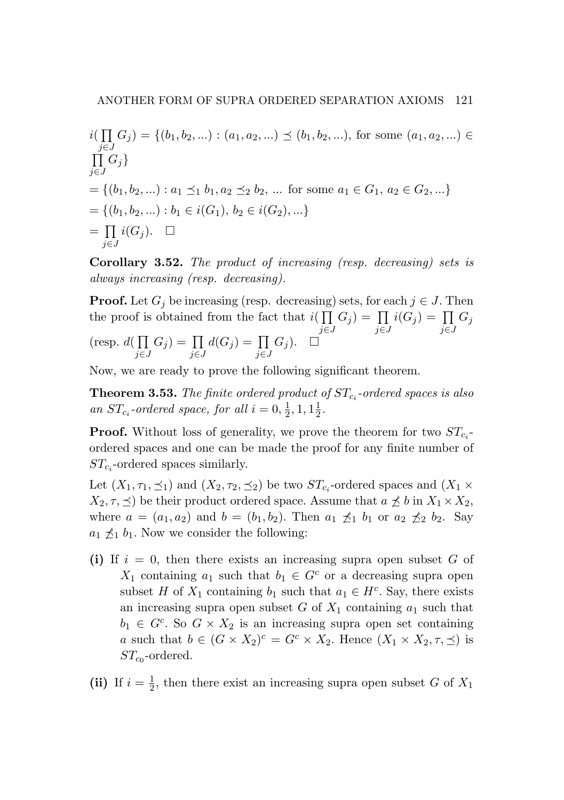$i(\prod_{i \in I} G_i) = \{(b_1, b_2, \ldots) : (a_1, a_2, \ldots) \preceq (b_1, b_2, \ldots), \text{ for some } (a_1, a_2, \ldots) \in$ *j*∈*J*<br> $\prod_{j \in J} G_j$ *j∈J*  $= \{ (b_1, b_2, \ldots) : a_1 \leq_1 b_1, a_2 \leq_2 b_2, \ldots \}$  for some  $a_1 \in G_1, a_2 \in G_2, \ldots \}$  $= \{(b_1, b_2, \ldots) : b_1 \in i(G_1), b_2 \in i(G_2), \ldots\}$  $=$   $\Pi$ *j∈J*  $i(G_j)$ .  $\Box$ 

Corollary 3.52. *The product of increasing (resp. decreasing) sets is always increasing (resp. decreasing).*

**Proof.** Let  $G_j$  be increasing (resp. decreasing) sets, for each  $j \in J$ . Then the proof is obtained from the fact that  $i(\prod$ *j∈J*  $G_j$ ) =  $\prod$ *j∈J*  $i(G_j) = \prod$ *j∈J*  $G_j$ (resp.  $d(\prod$ *j∈J*  $G_j$ ) =  $\prod$ *j∈J*  $d(G_j) = \prod$ *j∈J*  $G_j$ ).  $\square$ 

Now, we are ready to prove the following significant theorem.

Theorem 3.53. *The finite ordered product of STc<sup>i</sup> -ordered spaces is also an*  $ST_{c_i}$ -ordered space, for all  $i = 0, \frac{1}{2}, 1, 1\frac{1}{2}$ .

**Proof.** Without loss of generality, we prove the theorem for two  $ST_{c_i}$ ordered spaces and one can be made the proof for any finite number of *STc<sup>i</sup>* -ordered spaces similarly.

Let  $(X_1, \tau_1, \leq_1)$  and  $(X_2, \tau_2, \leq_2)$  be two  $ST_{c_i}$ -ordered spaces and  $(X_1 \times$  $X_2, \tau, \preceq$  be their product ordered space. Assume that  $a \not\preceq b$  in  $X_1 \times X_2$ , where  $a = (a_1, a_2)$  and  $b = (b_1, b_2)$ . Then  $a_1 \nleq_1 b_1$  or  $a_2 \nleq_2 b_2$ . Say  $a_1 \nleq_1 b_1$ . Now we consider the following:

(i) If  $i = 0$ , then there exists an increasing supra open subset G of *X*<sub>1</sub> containing *a*<sub>1</sub> such that  $b_1 \in G^c$  or a decreasing supra open subset *H* of  $X_1$  containing  $b_1$  such that  $a_1 \in H^c$ . Say, there exists an increasing supra open subset *G* of *X*<sup>1</sup> containing *a*<sup>1</sup> such that  $b_1 \in G^c$ . So  $G \times X_2$  is an increasing supra open set containing *a* such that  $b \in (G \times X_2)^c = G^c \times X_2$ . Hence  $(X_1 \times X_2, \tau, \preceq)$  is  $ST_{c0}$ -ordered.

(ii) If  $i = \frac{1}{2}$ , then there exist an increasing supra open subset *G* of  $X_1$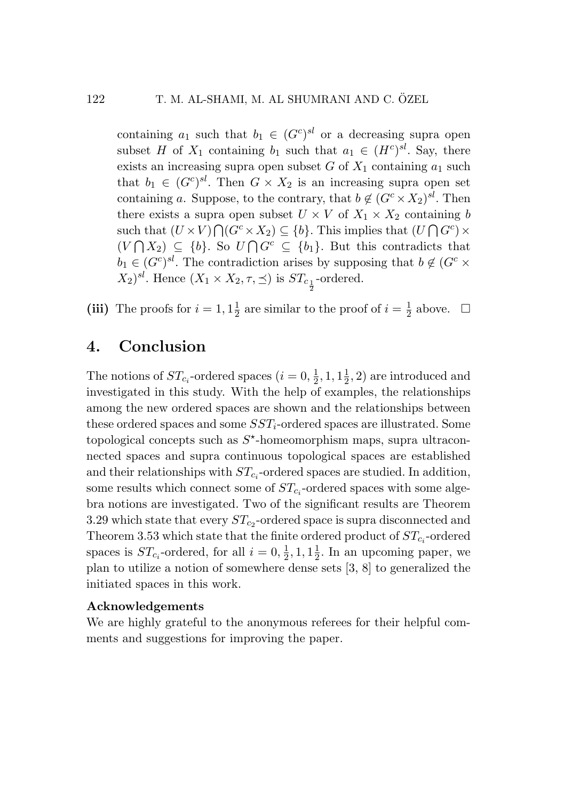containing  $a_1$  such that  $b_1 \in (G^c)^{sl}$  or a decreasing supra open subset *H* of  $X_1$  containing  $b_1$  such that  $a_1 \in (H^c)^{sl}$ . Say, there exists an increasing supra open subset  $G$  of  $X_1$  containing  $a_1$  such that  $b_1 \in (G^c)^{sl}$ . Then  $G \times X_2$  is an increasing supra open set containing *a*. Suppose, to the contrary, that  $b \notin (G^c \times X_2)^{sl}$ . Then there exists a supra open subset  $U \times V$  of  $X_1 \times X_2$  containing *b* such that  $(U \times V) \bigcap (G^c \times X_2) \subseteq \{b\}$ . This implies that  $(U \bigcap G^c) \times$  $(V \cap X_2)$  ⊆ {*b*}. So  $U \cap G^c$  ⊆ {*b*<sub>1</sub>}. But this contradicts that  $b_1 \in (G^c)^{sl}$ . The contradiction arises by supposing that  $b \notin (G^c \times$  $(X_2)^{sl}$ . Hence  $(X_1 \times X_2, \tau, \preceq)$  is  $ST_{c_{\frac{1}{2}}}$ -ordered.

(iii) The proofs for  $i = 1, 1\frac{1}{2}$  are similar to the proof of  $i = \frac{1}{2}$  above.  $\Box$ 

### 4. Conclusion

The notions of  $ST_{c_i}$ -ordered spaces  $(i = 0, \frac{1}{2}, 1, 1\frac{1}{2}, 2)$  are introduced and investigated in this study. With the help of examples, the relationships among the new ordered spaces are shown and the relationships between these ordered spaces and some *SSTi*-ordered spaces are illustrated. Some topological concepts such as  $S^*$ -homeomorphism maps, supra ultraconnected spaces and supra continuous topological spaces are established and their relationships with  $ST_{c_i}$ -ordered spaces are studied. In addition, some results which connect some of  $ST_{c_i}$ -ordered spaces with some algebra notions are investigated. Two of the significant results are Theorem 3.29 which state that every  $ST_{c2}$ -ordered space is supra disconnected and Theorem 3.53 which state that the finite ordered product of  $ST_{c_i}$ -ordered spaces is  $ST_{c_i}$ -ordered, for all  $i = 0, \frac{1}{2}, 1, 1\frac{1}{2}$ . In an upcoming paper, we plan to utilize a notion of somewhere dense sets [3, 8] to generalized the initiated spaces in this work.

#### Acknowledgements

We are highly grateful to the anonymous referees for their helpful comments and suggestions for improving the paper.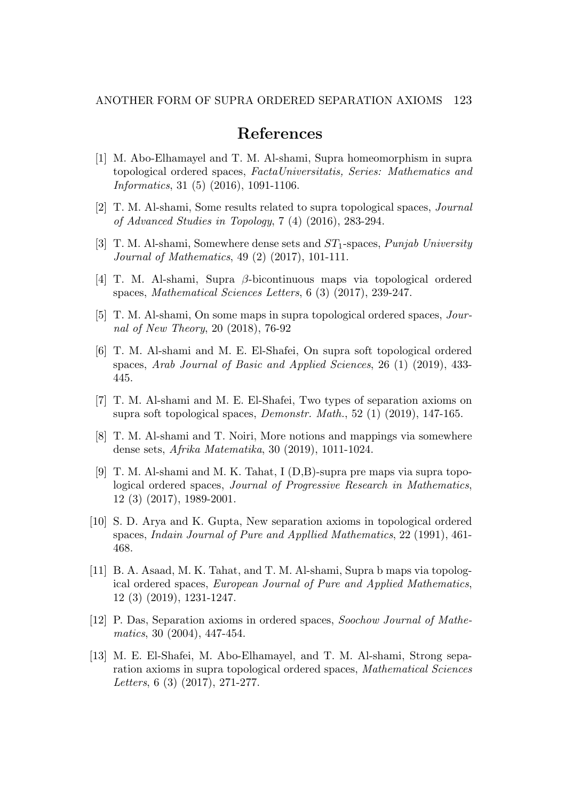# References

- [1] M. Abo-Elhamayel and T. M. Al-shami, Supra homeomorphism in supra topological ordered spaces, *FactaUniversitatis, Series: Mathematics and Informatics*, 31 (5) (2016), 1091-1106.
- [2] T. M. Al-shami, Some results related to supra topological spaces, *Journal of Advanced Studies in Topology*, 7 (4) (2016), 283-294.
- [3] T. M. Al-shami, Somewhere dense sets and *ST*1-spaces, *Punjab University Journal of Mathematics*, 49 (2) (2017), 101-111.
- [4] T. M. Al-shami, Supra *β*-bicontinuous maps via topological ordered spaces, *Mathematical Sciences Letters*, 6 (3) (2017), 239-247.
- [5] T. M. Al-shami, On some maps in supra topological ordered spaces, *Journal of New Theory*, 20 (2018), 76-92
- [6] T. M. Al-shami and M. E. El-Shafei, On supra soft topological ordered spaces, *Arab Journal of Basic and Applied Sciences*, 26 (1) (2019), 433- 445.
- [7] T. M. Al-shami and M. E. El-Shafei, Two types of separation axioms on supra soft topological spaces, *Demonstr. Math.*, 52 (1) (2019), 147-165.
- [8] T. M. Al-shami and T. Noiri, More notions and mappings via somewhere dense sets, *Afrika Matematika*, 30 (2019), 1011-1024.
- [9] T. M. Al-shami and M. K. Tahat, I (D,B)-supra pre maps via supra topological ordered spaces, *Journal of Progressive Research in Mathematics*, 12 (3) (2017), 1989-2001.
- [10] S. D. Arya and K. Gupta, New separation axioms in topological ordered spaces, *Indain Journal of Pure and Appllied Mathematics*, 22 (1991), 461- 468.
- [11] B. A. Asaad, M. K. Tahat, and T. M. Al-shami, Supra b maps via topological ordered spaces, *European Journal of Pure and Applied Mathematics*, 12 (3) (2019), 1231-1247.
- [12] P. Das, Separation axioms in ordered spaces, *Soochow Journal of Mathematics*, 30 (2004), 447-454.
- [13] M. E. El-Shafei, M. Abo-Elhamayel, and T. M. Al-shami, Strong separation axioms in supra topological ordered spaces, *Mathematical Sciences Letters*, 6 (3) (2017), 271-277.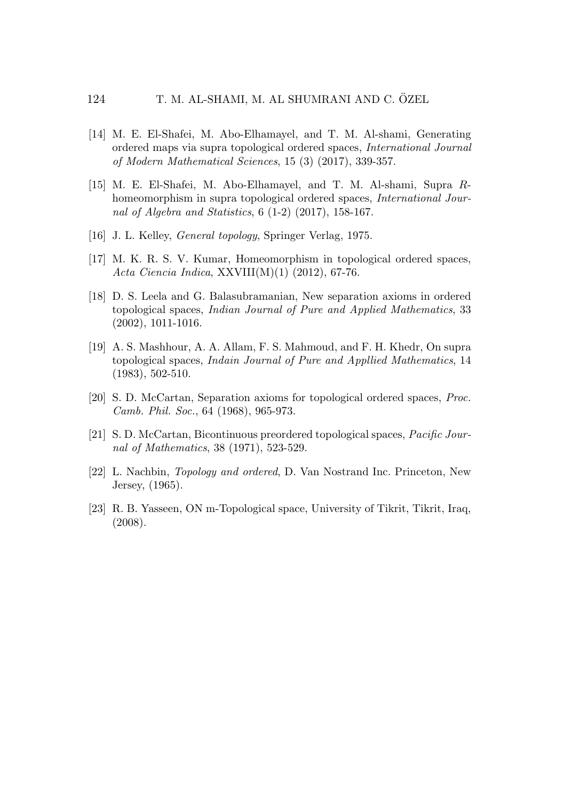- [14] M. E. El-Shafei, M. Abo-Elhamayel, and T. M. Al-shami, Generating ordered maps via supra topological ordered spaces, *International Journal of Modern Mathematical Sciences*, 15 (3) (2017), 339-357.
- [15] M. E. El-Shafei, M. Abo-Elhamayel, and T. M. Al-shami, Supra *R*homeomorphism in supra topological ordered spaces, *International Journal of Algebra and Statistics*, 6 (1-2) (2017), 158-167.
- [16] J. L. Kelley, *General topology*, Springer Verlag, 1975.
- [17] M. K. R. S. V. Kumar, Homeomorphism in topological ordered spaces, *Acta Ciencia Indica*, XXVIII(M)(1) (2012), 67-76.
- [18] D. S. Leela and G. Balasubramanian, New separation axioms in ordered topological spaces, *Indian Journal of Pure and Applied Mathematics*, 33 (2002), 1011-1016.
- [19] A. S. Mashhour, A. A. Allam, F. S. Mahmoud, and F. H. Khedr, On supra topological spaces, *Indain Journal of Pure and Appllied Mathematics*, 14 (1983), 502-510.
- [20] S. D. McCartan, Separation axioms for topological ordered spaces, *Proc. Camb. Phil. Soc.*, 64 (1968), 965-973.
- [21] S. D. McCartan, Bicontinuous preordered topological spaces, *Pacific Journal of Mathematics*, 38 (1971), 523-529.
- [22] L. Nachbin, *Topology and ordered*, D. Van Nostrand Inc. Princeton, New Jersey, (1965).
- [23] R. B. Yasseen, ON m-Topological space, University of Tikrit, Tikrit, Iraq, (2008).